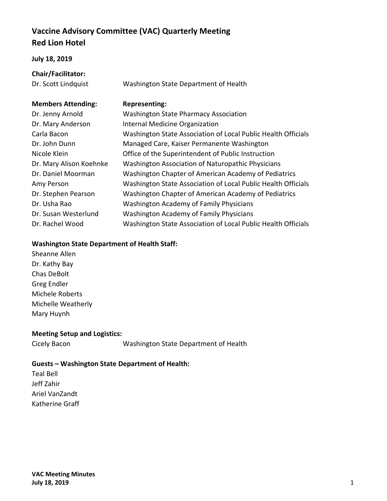# **Vaccine Advisory Committee (VAC) Quarterly Meeting Red Lion Hotel**

### **July 18, 2019**

| Chair/Facilitator: |
|--------------------|
| Dr. Scott Lindouis |

Dr. Scott Lindquist Washington State Department of Health

### **Members Attending: Representing:**

| Dr. Jenny Arnold        | <b>Washington State Pharmacy Association</b>                  |
|-------------------------|---------------------------------------------------------------|
| Dr. Mary Anderson       | <b>Internal Medicine Organization</b>                         |
| Carla Bacon             | Washington State Association of Local Public Health Officials |
| Dr. John Dunn           | Managed Care, Kaiser Permanente Washington                    |
| Nicole Klein            | Office of the Superintendent of Public Instruction            |
| Dr. Mary Alison Koehnke | Washington Association of Naturopathic Physicians             |
| Dr. Daniel Moorman      | Washington Chapter of American Academy of Pediatrics          |
| Amy Person              | Washington State Association of Local Public Health Officials |
| Dr. Stephen Pearson     | Washington Chapter of American Academy of Pediatrics          |
| Dr. Usha Rao            | <b>Washington Academy of Family Physicians</b>                |
| Dr. Susan Westerlund    | Washington Academy of Family Physicians                       |
| Dr. Rachel Wood         | Washington State Association of Local Public Health Officials |

### **Washington State Department of Health Staff:**

Sheanne Allen Dr. Kathy Bay Chas DeBolt Greg Endler Michele Roberts Michelle Weatherly Mary Huynh

### **Meeting Setup and Logistics:**

Cicely Bacon Washington State Department of Health

## **Guests – Washington State Department of Health:**

Teal Bell Jeff Zahir Ariel VanZandt Katherine Graff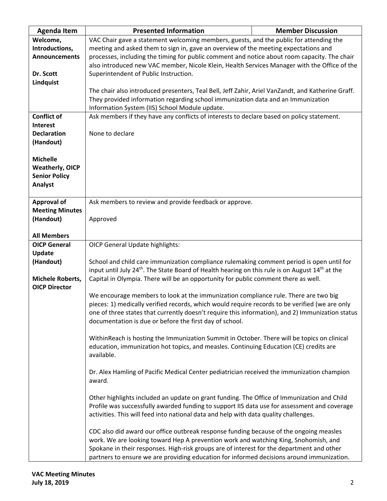| <b>Agenda Item</b>     | <b>Presented Information</b>                                                                                            | <b>Member Discussion</b> |  |
|------------------------|-------------------------------------------------------------------------------------------------------------------------|--------------------------|--|
| Welcome,               | VAC Chair gave a statement welcoming members, guests, and the public for attending the                                  |                          |  |
| Introductions,         | meeting and asked them to sign in, gave an overview of the meeting expectations and                                     |                          |  |
| <b>Announcements</b>   | processes, including the timing for public comment and notice about room capacity. The chair                            |                          |  |
|                        | also introduced new VAC member, Nicole Klein, Health Services Manager with the Office of the                            |                          |  |
| Dr. Scott              | Superintendent of Public Instruction.                                                                                   |                          |  |
| Lindquist              |                                                                                                                         |                          |  |
|                        | The chair also introduced presenters, Teal Bell, Jeff Zahir, Ariel VanZandt, and Katherine Graff.                       |                          |  |
|                        | They provided information regarding school immunization data and an Immunization                                        |                          |  |
|                        | Information System (IIS) School Module update.                                                                          |                          |  |
| <b>Conflict of</b>     | Ask members if they have any conflicts of interests to declare based on policy statement.                               |                          |  |
| <b>Interest</b>        |                                                                                                                         |                          |  |
| <b>Declaration</b>     | None to declare                                                                                                         |                          |  |
| (Handout)              |                                                                                                                         |                          |  |
|                        |                                                                                                                         |                          |  |
| <b>Michelle</b>        |                                                                                                                         |                          |  |
|                        |                                                                                                                         |                          |  |
| <b>Weatherly, OICP</b> |                                                                                                                         |                          |  |
| <b>Senior Policy</b>   |                                                                                                                         |                          |  |
| Analyst                |                                                                                                                         |                          |  |
|                        |                                                                                                                         |                          |  |
| <b>Approval of</b>     | Ask members to review and provide feedback or approve.                                                                  |                          |  |
| <b>Meeting Minutes</b> |                                                                                                                         |                          |  |
| (Handout)              | Approved                                                                                                                |                          |  |
|                        |                                                                                                                         |                          |  |
| <b>All Members</b>     |                                                                                                                         |                          |  |
| <b>OICP General</b>    | <b>OICP General Update highlights:</b>                                                                                  |                          |  |
| <b>Update</b>          |                                                                                                                         |                          |  |
| (Handout)              | School and child care immunization compliance rulemaking comment period is open until for                               |                          |  |
|                        | input until July 24 <sup>th</sup> . The State Board of Health hearing on this rule is on August 14 <sup>th</sup> at the |                          |  |
| Michele Roberts,       | Capital in Olympia. There will be an opportunity for public comment there as well.                                      |                          |  |
| <b>OICP Director</b>   |                                                                                                                         |                          |  |
|                        | We encourage members to look at the immunization compliance rule. There are two big                                     |                          |  |
|                        | pieces: 1) medically verified records, which would require records to be verified (we are only                          |                          |  |
|                        | one of three states that currently doesn't require this information), and 2) Immunization status                        |                          |  |
|                        | documentation is due or before the first day of school.                                                                 |                          |  |
|                        |                                                                                                                         |                          |  |
|                        | WithinReach is hosting the Immunization Summit in October. There will be topics on clinical                             |                          |  |
|                        | education, immunization hot topics, and measles. Continuing Education (CE) credits are                                  |                          |  |
|                        | available.                                                                                                              |                          |  |
|                        |                                                                                                                         |                          |  |
|                        | Dr. Alex Hamling of Pacific Medical Center pediatrician received the immunization champion                              |                          |  |
|                        | award.                                                                                                                  |                          |  |
|                        |                                                                                                                         |                          |  |
|                        | Other highlights included an update on grant funding. The Office of Immunization and Child                              |                          |  |
|                        | Profile was successfully awarded funding to support IIS data use for assessment and coverage                            |                          |  |
|                        | activities. This will feed into national data and help with data quality challenges.                                    |                          |  |
|                        |                                                                                                                         |                          |  |
|                        | CDC also did award our office outbreak response funding because of the ongoing measles                                  |                          |  |
|                        | work. We are looking toward Hep A prevention work and watching King, Snohomish, and                                     |                          |  |
|                        | Spokane in their responses. High-risk groups are of interest for the department and other                               |                          |  |
|                        | partners to ensure we are providing education for informed decisions around immunization.                               |                          |  |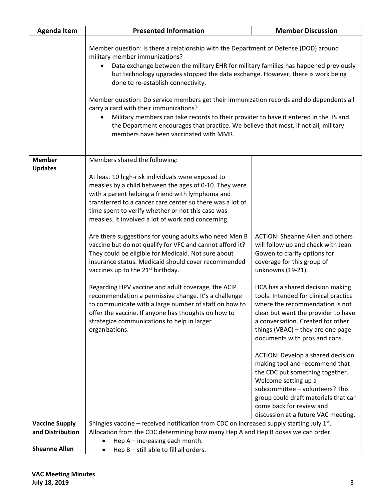| <b>Agenda Item</b>    | <b>Presented Information</b>                                                                                                                                                                                                                                                                                                                                                                                                                                                                                                                                                                                                                                                                                                                                                                                                                                                                                               | <b>Member Discussion</b>                                                                                                                                                                                                                                                                                                                                                                                                                                                                                                                                                                                                                                                                                           |
|-----------------------|----------------------------------------------------------------------------------------------------------------------------------------------------------------------------------------------------------------------------------------------------------------------------------------------------------------------------------------------------------------------------------------------------------------------------------------------------------------------------------------------------------------------------------------------------------------------------------------------------------------------------------------------------------------------------------------------------------------------------------------------------------------------------------------------------------------------------------------------------------------------------------------------------------------------------|--------------------------------------------------------------------------------------------------------------------------------------------------------------------------------------------------------------------------------------------------------------------------------------------------------------------------------------------------------------------------------------------------------------------------------------------------------------------------------------------------------------------------------------------------------------------------------------------------------------------------------------------------------------------------------------------------------------------|
|                       | Member question: Is there a relationship with the Department of Defense (DOD) around<br>military member immunizations?<br>Data exchange between the military EHR for military families has happened previously<br>but technology upgrades stopped the data exchange. However, there is work being<br>done to re-establish connectivity.<br>Member question: Do service members get their immunization records and do dependents all<br>carry a card with their immunizations?<br>Military members can take records to their provider to have it entered in the IIS and<br>٠<br>the Department encourages that practice. We believe that most, if not all, military<br>members have been vaccinated with MMR.                                                                                                                                                                                                               |                                                                                                                                                                                                                                                                                                                                                                                                                                                                                                                                                                                                                                                                                                                    |
| <b>Member</b>         | Members shared the following:                                                                                                                                                                                                                                                                                                                                                                                                                                                                                                                                                                                                                                                                                                                                                                                                                                                                                              |                                                                                                                                                                                                                                                                                                                                                                                                                                                                                                                                                                                                                                                                                                                    |
| <b>Updates</b>        | At least 10 high-risk individuals were exposed to<br>measles by a child between the ages of 0-10. They were<br>with a parent helping a friend with lymphoma and<br>transferred to a cancer care center so there was a lot of<br>time spent to verify whether or not this case was<br>measles. It involved a lot of work and concerning.<br>Are there suggestions for young adults who need Men B<br>vaccine but do not qualify for VFC and cannot afford it?<br>They could be eligible for Medicaid. Not sure about<br>insurance status. Medicaid should cover recommended<br>vaccines up to the 21 <sup>st</sup> birthday.<br>Regarding HPV vaccine and adult coverage, the ACIP<br>recommendation a permissive change. It's a challenge<br>to communicate with a large number of staff on how to<br>offer the vaccine. If anyone has thoughts on how to<br>strategize communications to help in larger<br>organizations. | <b>ACTION: Sheanne Allen and others</b><br>will follow up and check with Jean<br>Gowen to clarify options for<br>coverage for this group of<br>unknowns (19-21).<br>HCA has a shared decision making<br>tools. Intended for clinical practice<br>where the recommendation is not<br>clear but want the provider to have<br>a conversation. Created for other<br>things (VBAC) - they are one page<br>documents with pros and cons.<br>ACTION: Develop a shared decision<br>making tool and recommend that<br>the CDC put something together.<br>Welcome setting up a<br>subcommittee - volunteers? This<br>group could draft materials that can<br>come back for review and<br>discussion at a future VAC meeting. |
| <b>Vaccine Supply</b> | Shingles vaccine – received notification from CDC on increased supply starting July $1st$ .                                                                                                                                                                                                                                                                                                                                                                                                                                                                                                                                                                                                                                                                                                                                                                                                                                |                                                                                                                                                                                                                                                                                                                                                                                                                                                                                                                                                                                                                                                                                                                    |
| and Distribution      | Allocation from the CDC determining how many Hep A and Hep B doses we can order.<br>Hep $A$ – increasing each month.                                                                                                                                                                                                                                                                                                                                                                                                                                                                                                                                                                                                                                                                                                                                                                                                       |                                                                                                                                                                                                                                                                                                                                                                                                                                                                                                                                                                                                                                                                                                                    |
| <b>Sheanne Allen</b>  | Hep B - still able to fill all orders.                                                                                                                                                                                                                                                                                                                                                                                                                                                                                                                                                                                                                                                                                                                                                                                                                                                                                     |                                                                                                                                                                                                                                                                                                                                                                                                                                                                                                                                                                                                                                                                                                                    |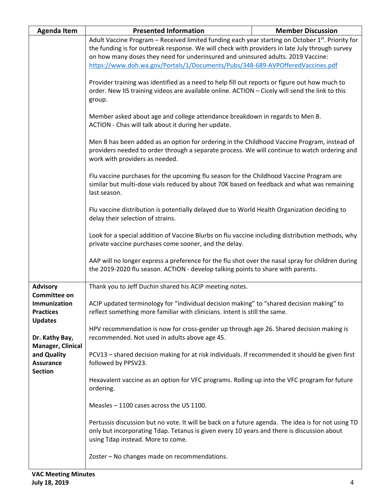| <b>Agenda Item</b>                                                        | <b>Presented Information</b>                                                                                                                                                                                                                                                                                                                                             | <b>Member Discussion</b> |  |
|---------------------------------------------------------------------------|--------------------------------------------------------------------------------------------------------------------------------------------------------------------------------------------------------------------------------------------------------------------------------------------------------------------------------------------------------------------------|--------------------------|--|
|                                                                           | Adult Vaccine Program - Received limited funding each year starting on October 1st. Priority for<br>the funding is for outbreak response. We will check with providers in late July through survey<br>on how many doses they need for underinsured and uninsured adults. 2019 Vaccine:<br>https://www.doh.wa.gov/Portals/1/Documents/Pubs/348-689-AVPOfferedVaccines.pdf |                          |  |
|                                                                           | Provider training was identified as a need to help fill out reports or figure out how much to<br>order. New IIS training videos are available online. ACTION - Cicely will send the link to this<br>group.                                                                                                                                                               |                          |  |
|                                                                           | Member asked about age and college attendance breakdown in regards to Men B.<br>ACTION - Chas will talk about it during her update.                                                                                                                                                                                                                                      |                          |  |
|                                                                           | Men B has been added as an option for ordering in the Childhood Vaccine Program, instead of<br>providers needed to order through a separate process. We will continue to watch ordering and<br>work with providers as needed.                                                                                                                                            |                          |  |
|                                                                           | Flu vaccine purchases for the upcoming flu season for the Childhood Vaccine Program are<br>similar but multi-dose vials reduced by about 70K based on feedback and what was remaining<br>last season.                                                                                                                                                                    |                          |  |
|                                                                           | Flu vaccine distribution is potentially delayed due to World Health Organization deciding to<br>delay their selection of strains.                                                                                                                                                                                                                                        |                          |  |
|                                                                           | Look for a special addition of Vaccine Blurbs on flu vaccine including distribution methods, why<br>private vaccine purchases come sooner, and the delay.                                                                                                                                                                                                                |                          |  |
|                                                                           | AAP will no longer express a preference for the flu shot over the nasal spray for children during<br>the 2019-2020 flu season. ACTION - develop talking points to share with parents.                                                                                                                                                                                    |                          |  |
| <b>Advisory</b>                                                           | Thank you to Jeff Duchin shared his ACIP meeting notes.                                                                                                                                                                                                                                                                                                                  |                          |  |
| <b>Committee on</b><br>Immunization<br><b>Practices</b><br><b>Updates</b> | ACIP updated terminology for "individual decision making" to "shared decision making" to<br>reflect something more familiar with clinicians. Intent is still the same.                                                                                                                                                                                                   |                          |  |
| Dr. Kathy Bay,<br>Manager, Clinical                                       | HPV recommendation is now for cross-gender up through age 26. Shared decision making is<br>recommended. Not used in adults above age 45.                                                                                                                                                                                                                                 |                          |  |
| and Quality<br><b>Assurance</b>                                           | PCV13 - shared decision making for at risk individuals. If recommended it should be given first<br>followed by PPSV23.                                                                                                                                                                                                                                                   |                          |  |
| <b>Section</b>                                                            | Hexavalent vaccine as an option for VFC programs. Rolling up into the VFC program for future<br>ordering.                                                                                                                                                                                                                                                                |                          |  |
|                                                                           | Measles - 1100 cases across the US 1100.                                                                                                                                                                                                                                                                                                                                 |                          |  |
|                                                                           | Pertussis discussion but no vote. It will be back on a future agenda. The idea is for not using TD<br>only but incorporating Tdap. Tetanus is given every 10 years and there is discussion about<br>using Tdap instead. More to come.                                                                                                                                    |                          |  |
|                                                                           | Zoster - No changes made on recommendations.                                                                                                                                                                                                                                                                                                                             |                          |  |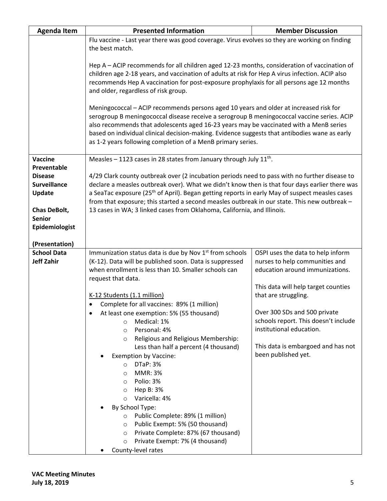| <b>Agenda Item</b>  | <b>Presented Information</b>                                                                                                                                                                               | <b>Member Discussion</b>                                         |  |
|---------------------|------------------------------------------------------------------------------------------------------------------------------------------------------------------------------------------------------------|------------------------------------------------------------------|--|
|                     | Flu vaccine - Last year there was good coverage. Virus evolves so they are working on finding                                                                                                              |                                                                  |  |
|                     | the best match.                                                                                                                                                                                            |                                                                  |  |
|                     | Hep A - ACIP recommends for all children aged 12-23 months, consideration of vaccination of                                                                                                                |                                                                  |  |
|                     | children age 2-18 years, and vaccination of adults at risk for Hep A virus infection. ACIP also                                                                                                            |                                                                  |  |
|                     | recommends Hep A vaccination for post-exposure prophylaxis for all persons age 12 months                                                                                                                   |                                                                  |  |
|                     | and older, regardless of risk group.                                                                                                                                                                       |                                                                  |  |
|                     |                                                                                                                                                                                                            |                                                                  |  |
|                     | Meningococcal - ACIP recommends persons aged 10 years and older at increased risk for                                                                                                                      |                                                                  |  |
|                     | serogroup B meningococcal disease receive a serogroup B meningococcal vaccine series. ACIP                                                                                                                 |                                                                  |  |
|                     | also recommends that adolescents aged 16-23 years may be vaccinated with a MenB series                                                                                                                     |                                                                  |  |
|                     | based on individual clinical decision-making. Evidence suggests that antibodies wane as early                                                                                                              |                                                                  |  |
|                     | as 1-2 years following completion of a MenB primary series.                                                                                                                                                |                                                                  |  |
|                     |                                                                                                                                                                                                            |                                                                  |  |
| <b>Vaccine</b>      | Measles – 1123 cases in 28 states from January through July $11^{th}$ .                                                                                                                                    |                                                                  |  |
| Preventable         |                                                                                                                                                                                                            |                                                                  |  |
| <b>Disease</b>      | 4/29 Clark county outbreak over (2 incubation periods need to pass with no further disease to                                                                                                              |                                                                  |  |
| <b>Surveillance</b> | declare a measles outbreak over). What we didn't know then is that four days earlier there was                                                                                                             |                                                                  |  |
| Update              | a SeaTac exposure (25 <sup>th</sup> of April). Began getting reports in early May of suspect measles cases<br>from that exposure; this started a second measles outbreak in our state. This new outbreak - |                                                                  |  |
| <b>Chas DeBolt,</b> | 13 cases in WA; 3 linked cases from Oklahoma, California, and Illinois.                                                                                                                                    |                                                                  |  |
| <b>Senior</b>       |                                                                                                                                                                                                            |                                                                  |  |
| Epidemiologist      |                                                                                                                                                                                                            |                                                                  |  |
|                     |                                                                                                                                                                                                            |                                                                  |  |
| (Presentation)      |                                                                                                                                                                                                            |                                                                  |  |
| <b>School Data</b>  | Immunization status data is due by Nov 1st from schools                                                                                                                                                    | OSPI uses the data to help inform                                |  |
| <b>Jeff Zahir</b>   | (K-12). Data will be published soon. Data is suppressed                                                                                                                                                    | nurses to help communities and                                   |  |
|                     | when enrollment is less than 10. Smaller schools can                                                                                                                                                       | education around immunizations.                                  |  |
|                     | request that data.                                                                                                                                                                                         |                                                                  |  |
|                     |                                                                                                                                                                                                            | This data will help target counties                              |  |
|                     | K-12 Students (1.1 million)                                                                                                                                                                                | that are struggling.                                             |  |
|                     | Complete for all vaccines: 89% (1 million)                                                                                                                                                                 |                                                                  |  |
|                     | At least one exemption: 5% (55 thousand)                                                                                                                                                                   | Over 300 SDs and 500 private                                     |  |
|                     | Medical: 1%<br>$\Omega$                                                                                                                                                                                    | schools report. This doesn't include<br>institutional education. |  |
|                     | Personal: 4%<br>$\circ$<br>Religious and Religious Membership:<br>$\circ$                                                                                                                                  |                                                                  |  |
|                     | Less than half a percent (4 thousand)                                                                                                                                                                      | This data is embargoed and has not                               |  |
|                     | <b>Exemption by Vaccine:</b>                                                                                                                                                                               | been published yet.                                              |  |
|                     | <b>DTaP: 3%</b><br>$\circ$                                                                                                                                                                                 |                                                                  |  |
|                     | <b>MMR: 3%</b><br>$\circ$                                                                                                                                                                                  |                                                                  |  |
|                     | Polio: 3%<br>$\circ$                                                                                                                                                                                       |                                                                  |  |
|                     | Hep B: 3%<br>$\circ$                                                                                                                                                                                       |                                                                  |  |
|                     | Varicella: 4%<br>$\circ$                                                                                                                                                                                   |                                                                  |  |
|                     | By School Type:                                                                                                                                                                                            |                                                                  |  |
|                     | Public Complete: 89% (1 million)<br>$\circ$                                                                                                                                                                |                                                                  |  |
|                     | Public Exempt: 5% (50 thousand)<br>$\circ$                                                                                                                                                                 |                                                                  |  |
|                     | Private Complete: 87% (67 thousand)<br>$\circ$                                                                                                                                                             |                                                                  |  |
|                     | Private Exempt: 7% (4 thousand)<br>$\circ$                                                                                                                                                                 |                                                                  |  |
|                     | County-level rates                                                                                                                                                                                         |                                                                  |  |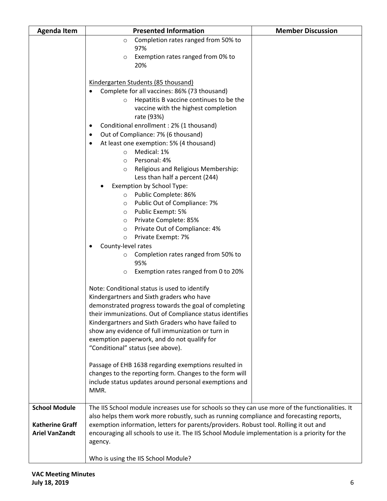| Completion rates ranged from 50% to<br>$\circ$                                                                          |  |
|-------------------------------------------------------------------------------------------------------------------------|--|
| 97%                                                                                                                     |  |
| Exemption rates ranged from 0% to<br>$\circ$                                                                            |  |
| 20%                                                                                                                     |  |
|                                                                                                                         |  |
| Kindergarten Students (85 thousand)                                                                                     |  |
| Complete for all vaccines: 86% (73 thousand)                                                                            |  |
| Hepatitis B vaccine continues to be the<br>$\circ$                                                                      |  |
| vaccine with the highest completion                                                                                     |  |
| rate (93%)                                                                                                              |  |
| Conditional enrollment : 2% (1 thousand)<br>٠                                                                           |  |
| Out of Compliance: 7% (6 thousand)<br>٠                                                                                 |  |
| At least one exemption: 5% (4 thousand)                                                                                 |  |
| Medical: 1%<br>$\circ$                                                                                                  |  |
| Personal: 4%<br>$\circ$                                                                                                 |  |
| Religious and Religious Membership:<br>$\circ$                                                                          |  |
| Less than half a percent (244)                                                                                          |  |
| Exemption by School Type:                                                                                               |  |
| Public Complete: 86%<br>$\circ$                                                                                         |  |
| Public Out of Compliance: 7%<br>$\circ$                                                                                 |  |
| Public Exempt: 5%<br>$\circ$                                                                                            |  |
| Private Complete: 85%<br>$\circ$                                                                                        |  |
| Private Out of Compliance: 4%<br>$\circ$                                                                                |  |
| Private Exempt: 7%<br>$\circ$                                                                                           |  |
| County-level rates                                                                                                      |  |
| Completion rates ranged from 50% to<br>O<br>95%                                                                         |  |
| Exemption rates ranged from 0 to 20%<br>O                                                                               |  |
|                                                                                                                         |  |
| Note: Conditional status is used to identify                                                                            |  |
| Kindergartners and Sixth graders who have                                                                               |  |
| demonstrated progress towards the goal of completing                                                                    |  |
| their immunizations. Out of Compliance status identifies                                                                |  |
| Kindergartners and Sixth Graders who have failed to                                                                     |  |
| show any evidence of full immunization or turn in                                                                       |  |
| exemption paperwork, and do not qualify for                                                                             |  |
| "Conditional" status (see above).                                                                                       |  |
|                                                                                                                         |  |
| Passage of EHB 1638 regarding exemptions resulted in                                                                    |  |
| changes to the reporting form. Changes to the form will                                                                 |  |
| include status updates around personal exemptions and                                                                   |  |
| MMR.                                                                                                                    |  |
|                                                                                                                         |  |
| <b>School Module</b><br>The IIS School module increases use for schools so they can use more of the functionalities. It |  |
| also helps them work more robustly, such as running compliance and forecasting reports,                                 |  |
| <b>Katherine Graff</b><br>exemption information, letters for parents/providers. Robust tool. Rolling it out and         |  |
| <b>Ariel VanZandt</b><br>encouraging all schools to use it. The IIS School Module implementation is a priority for the  |  |
| agency.                                                                                                                 |  |
| Who is using the IIS School Module?                                                                                     |  |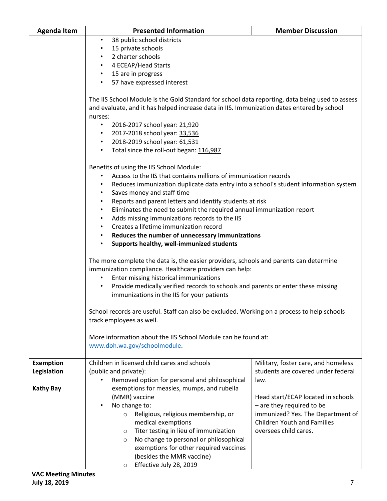| <b>Agenda Item</b> | <b>Presented Information</b>                                                                      | <b>Member Discussion</b>            |  |
|--------------------|---------------------------------------------------------------------------------------------------|-------------------------------------|--|
|                    | 38 public school districts<br>$\bullet$                                                           |                                     |  |
|                    | 15 private schools<br>$\bullet$                                                                   |                                     |  |
|                    | 2 charter schools                                                                                 |                                     |  |
|                    | 4 ECEAP/Head Starts<br>$\bullet$                                                                  |                                     |  |
|                    | • 15 are in progress                                                                              |                                     |  |
|                    | 57 have expressed interest<br>$\bullet$                                                           |                                     |  |
|                    |                                                                                                   |                                     |  |
|                    | The IIS School Module is the Gold Standard for school data reporting, data being used to assess   |                                     |  |
|                    | and evaluate, and it has helped increase data in IIS. Immunization dates entered by school        |                                     |  |
|                    | nurses:                                                                                           |                                     |  |
|                    | 2016-2017 school year: 21,920<br>$\bullet$                                                        |                                     |  |
|                    | 2017-2018 school year: 33,536<br>٠                                                                |                                     |  |
|                    | 2018-2019 school year: 61,531<br>$\bullet$                                                        |                                     |  |
|                    | Total since the roll-out began: 116,987<br>$\bullet$                                              |                                     |  |
|                    |                                                                                                   |                                     |  |
|                    | Benefits of using the IIS School Module:                                                          |                                     |  |
|                    | Access to the IIS that contains millions of immunization records<br>$\bullet$                     |                                     |  |
|                    | Reduces immunization duplicate data entry into a school's student information system<br>$\bullet$ |                                     |  |
|                    | Saves money and staff time<br>$\bullet$                                                           |                                     |  |
|                    | Reports and parent letters and identify students at risk<br>$\bullet$                             |                                     |  |
|                    | Eliminates the need to submit the required annual immunization report<br>$\bullet$                |                                     |  |
|                    | Adds missing immunizations records to the IIS                                                     |                                     |  |
|                    | Creates a lifetime immunization record                                                            |                                     |  |
|                    | Reduces the number of unnecessary immunizations<br>$\bullet$                                      |                                     |  |
|                    | Supports healthy, well-immunized students<br>$\bullet$                                            |                                     |  |
|                    |                                                                                                   |                                     |  |
|                    | The more complete the data is, the easier providers, schools and parents can determine            |                                     |  |
|                    | immunization compliance. Healthcare providers can help:                                           |                                     |  |
|                    | Enter missing historical immunizations<br>$\bullet$                                               |                                     |  |
|                    | Provide medically verified records to schools and parents or enter these missing<br>$\bullet$     |                                     |  |
|                    | immunizations in the IIS for your patients                                                        |                                     |  |
|                    |                                                                                                   |                                     |  |
|                    | School records are useful. Staff can also be excluded. Working on a process to help schools       |                                     |  |
|                    | track employees as well.                                                                          |                                     |  |
|                    |                                                                                                   |                                     |  |
|                    | More information about the IIS School Module can be found at:                                     |                                     |  |
|                    | www.doh.wa.gov/schoolmodule.                                                                      |                                     |  |
|                    |                                                                                                   |                                     |  |
| <b>Exemption</b>   | Children in licensed child cares and schools                                                      | Military, foster care, and homeless |  |
| Legislation        | (public and private):                                                                             | students are covered under federal  |  |
|                    | Removed option for personal and philosophical<br>$\bullet$                                        | law.                                |  |
| <b>Kathy Bay</b>   | exemptions for measles, mumps, and rubella                                                        |                                     |  |
|                    | (MMR) vaccine                                                                                     | Head start/ECAP located in schools  |  |
|                    | No change to:<br>$\bullet$                                                                        | - are they required to be           |  |
|                    | Religious, religious membership, or<br>$\circ$                                                    | immunized? Yes. The Department of   |  |
|                    | medical exemptions                                                                                | <b>Children Youth and Families</b>  |  |
|                    | Titer testing in lieu of immunization<br>$\circ$                                                  | oversees child cares.               |  |
|                    | No change to personal or philosophical<br>$\circ$                                                 |                                     |  |
|                    | exemptions for other required vaccines                                                            |                                     |  |
|                    | (besides the MMR vaccine)                                                                         |                                     |  |
|                    | Effective July 28, 2019<br>O                                                                      |                                     |  |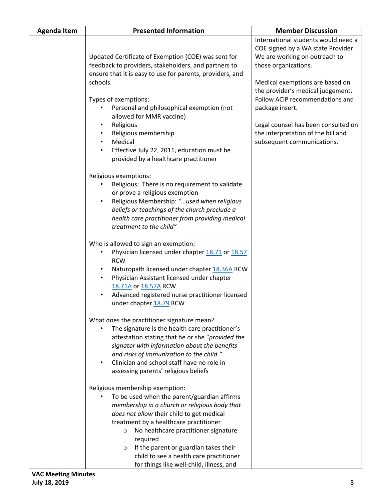| <b>Agenda Item</b> | <b>Presented Information</b>                                                                                                                                                                                                                                                                                                                                                                                                                                | <b>Member Discussion</b>                                                                                                                                                                                                                                                                                                                                                    |
|--------------------|-------------------------------------------------------------------------------------------------------------------------------------------------------------------------------------------------------------------------------------------------------------------------------------------------------------------------------------------------------------------------------------------------------------------------------------------------------------|-----------------------------------------------------------------------------------------------------------------------------------------------------------------------------------------------------------------------------------------------------------------------------------------------------------------------------------------------------------------------------|
|                    | Updated Certificate of Exemption (COE) was sent for<br>feedback to providers, stakeholders, and partners to<br>ensure that it is easy to use for parents, providers, and<br>schools.<br>Types of exemptions:<br>Personal and philosophical exemption (not<br>allowed for MMR vaccine)<br>Religious<br>٠<br>Religious membership<br>Medical<br>$\bullet$<br>Effective July 22, 2011, education must be<br>$\bullet$<br>provided by a healthcare practitioner | International students would need a<br>COE signed by a WA state Provider.<br>We are working on outreach to<br>those organizations.<br>Medical exemptions are based on<br>the provider's medical judgement.<br>Follow ACIP recommendations and<br>package insert.<br>Legal counsel has been consulted on<br>the interpretation of the bill and<br>subsequent communications. |
|                    | Religious exemptions:<br>Religious: There is no requirement to validate<br>or prove a religious exemption<br>Religious Membership: "used when religious<br>beliefs or teachings of the church preclude a<br>health care practitioner from providing medical<br>treatment to the child"                                                                                                                                                                      |                                                                                                                                                                                                                                                                                                                                                                             |
|                    | Who is allowed to sign an exemption:<br>Physician licensed under chapter 18.71 or 18.57<br>$\bullet$<br><b>RCW</b><br>Naturopath licensed under chapter 18.36A RCW<br>Physician Assistant licensed under chapter<br>$\bullet$<br>18.71A or 18.57A RCW<br>Advanced registered nurse practitioner licensed<br>under chapter 18.79 RCW                                                                                                                         |                                                                                                                                                                                                                                                                                                                                                                             |
|                    | What does the practitioner signature mean?<br>The signature is the health care practitioner's<br>attestation stating that he or she "provided the<br>signator with information about the benefits<br>and risks of immunization to the child."<br>Clinician and school staff have no role in<br>assessing parents' religious beliefs                                                                                                                         |                                                                                                                                                                                                                                                                                                                                                                             |
|                    | Religious membership exemption:<br>To be used when the parent/guardian affirms<br>membership in a church or religious body that<br>does not allow their child to get medical<br>treatment by a healthcare practitioner<br>No healthcare practitioner signature<br>$\circ$<br>required<br>If the parent or guardian takes their<br>$\circ$<br>child to see a health care practitioner<br>for things like well-child, illness, and                            |                                                                                                                                                                                                                                                                                                                                                                             |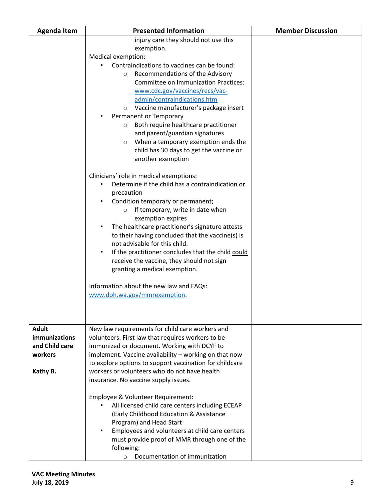| <b>Agenda Item</b>                                                            | <b>Presented Information</b>                                                                                                                                                                                                                                                                                                                                                                                                                                                                                                                                                                                                                                                                                                                                                                                                                                                                                                                                                                                                                                                                                                                                                                   | <b>Member Discussion</b> |
|-------------------------------------------------------------------------------|------------------------------------------------------------------------------------------------------------------------------------------------------------------------------------------------------------------------------------------------------------------------------------------------------------------------------------------------------------------------------------------------------------------------------------------------------------------------------------------------------------------------------------------------------------------------------------------------------------------------------------------------------------------------------------------------------------------------------------------------------------------------------------------------------------------------------------------------------------------------------------------------------------------------------------------------------------------------------------------------------------------------------------------------------------------------------------------------------------------------------------------------------------------------------------------------|--------------------------|
|                                                                               | injury care they should not use this<br>exemption.<br>Medical exemption:<br>Contraindications to vaccines can be found:<br>Recommendations of the Advisory<br>$\circ$<br><b>Committee on Immunization Practices:</b><br>www.cdc.gov/vaccines/recs/vac-<br>admin/contraindications.htm<br>Vaccine manufacturer's package insert<br>$\circ$<br>Permanent or Temporary<br>Both require healthcare practitioner<br>$\circ$<br>and parent/guardian signatures<br>When a temporary exemption ends the<br>$\circ$<br>child has 30 days to get the vaccine or<br>another exemption<br>Clinicians' role in medical exemptions:<br>Determine if the child has a contraindication or<br>$\bullet$<br>precaution<br>Condition temporary or permanent;<br>If temporary, write in date when<br>$\circ$<br>exemption expires<br>The healthcare practitioner's signature attests<br>$\bullet$<br>to their having concluded that the vaccine(s) is<br>not advisable for this child.<br>If the practitioner concludes that the child could<br>$\bullet$<br>receive the vaccine, they should not sign<br>granting a medical exemption.<br>Information about the new law and FAQs:<br>www.doh.wa.gov/mmrexemption. |                          |
| <b>Adult</b><br><i>immunizations</i><br>and Child care<br>workers<br>Kathy B. | New law requirements for child care workers and<br>volunteers. First law that requires workers to be<br>immunized or document. Working with DCYF to<br>implement. Vaccine availability - working on that now<br>to explore options to support vaccination for childcare<br>workers or volunteers who do not have health<br>insurance. No vaccine supply issues.<br>Employee & Volunteer Requirement:<br>All licensed child care centers including ECEAP                                                                                                                                                                                                                                                                                                                                                                                                                                                                                                                                                                                                                                                                                                                                        |                          |
|                                                                               | (Early Childhood Education & Assistance<br>Program) and Head Start<br>Employees and volunteers at child care centers<br>$\bullet$<br>must provide proof of MMR through one of the<br>following:<br>Documentation of immunization<br>$\circ$                                                                                                                                                                                                                                                                                                                                                                                                                                                                                                                                                                                                                                                                                                                                                                                                                                                                                                                                                    |                          |